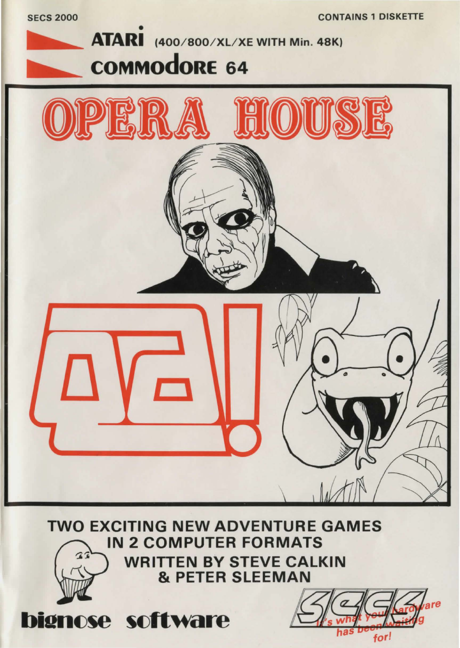**CONTAINS 1 DISKETTE** 

for!





**TWO EXCITING NEW ADVENTURE GAMES IN 2 COMPUTER FORMATS WRITTEN BY STEVE CALKIN & PETER SLEEMAN** 

bignose software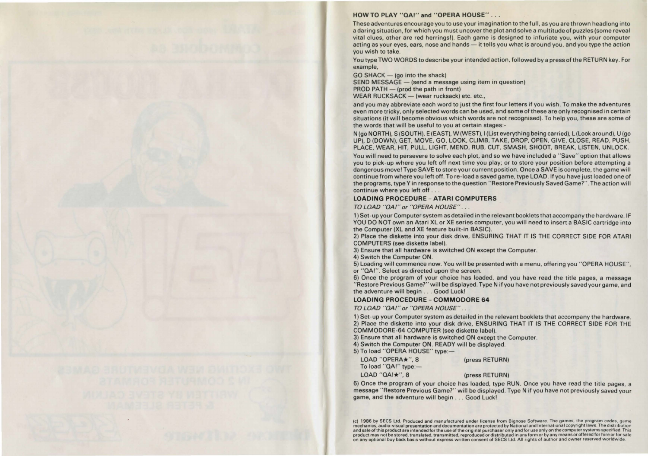## **HOW TO PLAY** "QAI" **and "OPERA HOUSE" . .** .

These adventures encourage you to use your imagination to the full, as you are thrown headlong into a daring situation, for which you must uncover the plot and solve a multitude of puzzles (some reveal vital clues, other are red herrings!). Each game is designed to infuriate you, with your computer acting as your eyes, ears, nose and hands - it tells you what is around you, and you type the action you wish to take.

You type TWO WORDS to describe your intended action, followed by a press of the RETURN key. For example,

 $GO SHACK - (go into the shock)$ SEND MESSAGE - (send a message using item in question)  $PROD$  PATH  $-$  (prod the path in front) WEAR RUCKSACK - (wear rucksack) etc. etc.,

and you may abbreviate each word to just the first four letters if you wish. To make the adventures even more tricky, only selected words can be used, and some of these are only recognised in certain situations (it will become obvious which words are not recognised). To help you, these are sorne of the words that will be useful to you at certain stages:-

N (go NORTH), S (SOUTH), E (EAST), W (WEST), I (List everything being carried), L(Look around), U (go UP), D (DOWN), GET, MOVE, GO, LOOK, CLIMB, TAKE, DROP, OPEN, GIVE, CLOSE, READ, PUSH, PLACE, WEAR, HIT, PULL, LIGHT, MEND, RUB, CUT, SMASH, SHOOT, BREAK, LISTEN, UNLOCK.

You will need to persevere to solve each plot, and so we have included a " Save" option that allows you to pick-up where you left off next time you play; or to store your position before attempting a dangerous move I Type SAVE to store your current position. Once a SAVE is complete, the game will continue from where you left off. To re-load a saved game, type LOAD. If you have just loaded one of the programs, type Yin response to the question " Restore Previously Saved Game?". The action will continue where you left off . . .

## **LOADING PROCEDURE - ATARI COMPUTERS**

TO LOAD "QA/" *or* "OPERA HOUSE" . ..

1) Set-up your Computer system as detailed in the relevant booklets that accompany the hardware. IF YOU DO NOT own an Atari XL or XE series computer, you will need to insert a BASIC cartridge into the Computer (XL and XE feature built-in BASIC).

2) Place the diskette into your disk drive, ENSURING THAT IT IS THE CORRECT SIDE FOR ATARI COMPUTERS (see diskette label).

3) Ensure that all hardware is switched ON except the Computer.

4) Switch the Computer ON.

5) Loading will commence now. You will be presented with a menu, offering you "OPERA HOUSE''. or "QAI''. Select as directed upon the screen.

6) Once the program of your choice has loaded, and you have read the title pages, a message "Restore Previous Game?" will be displayed. Type N if you have not previously saved your game, and the adventure will begin . .. Good Luck!

**LOADING PROCEDURE - COMMODORE 64** 

TO LOAD "QA/" *or* "OPERA HOUSE" . ..

1) Set-up your Computer system as detailed in the relevant booklets that accompany the hardware. 2) Place the diskette into your disk drive, ENSURING THAT IT IS THE CORRECT SIDE FOR THE COMMODORE-64 COMPUTER (see diskette label).

3) Ensure that all hardware is switched ON except the Computer.

4) Switch the Computer ON. READY will be displayed.

5) To load "OPERA HOUSE" type:-

| LOAD "OPERA $\star$ ", 8 | (press RETURN) |
|--------------------------|----------------|
| To load " $QAI"$ type:-  |                |
| LOAD "QA! $\star$ ", 8   | (press RETURN) |

6) Once the program of your choice has loaded, type RUN. Once you have read the title pages, a message "Restore Previous Game?" will be displayed. Type N if you have not previously saved your game, and the adventure will begin ... Good Luck!

(c) 1986 by SECS Ltd. Produced and manufactured under license from B1gnose Software. The games. the program codes, game mechanics, audio-visual presentation and documentation are protected by National and International copyright laws. The distribution **and sale of this product are intended for the use of the original purchaser only and for use only on the computer systems specified. This product may not be stored, translated, transmitted, reproduced or distributed in any form or by any means or offered for hire or for sale on any optional buy back basis without express written consent of SECS Ltd. All rights of author and owner reserved worldwide**